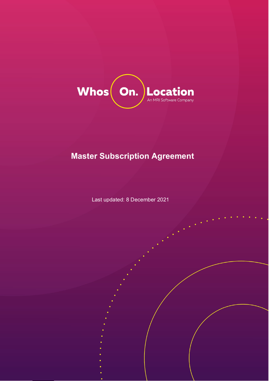

# **Master Subscription Agreement**

Last updated: 8 December 2021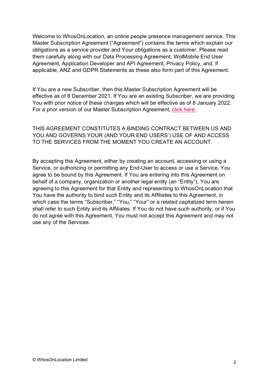Welcome to WhosOnLocation, an online people presence management service. This Master Subscription Agreement ("Agreement") contains the terms which explain our obligations as a service provider and Your obligations as a customer. Please read them carefully along with our Data Processing Agreement, WolMobile End User Agreement, Application Developer and API Agreement, Privacy Policy, and, if applicable, ANZ and GDPR Statements as these also form part of this Agreement.

If You are a new Subscriber, then this Master Subscription Agreement will be effective as of 8 December 2021. If You are an existing Subscriber, we are providing You with prior notice of these changes which will be effective as of 8 January 2022. For a prior version of our Master Subscription Agreement, [click here.](https://whosonlocation.com/wp-content/uploads/2021/02/Master-Subscription-Agreement-Nov-24th-2020.pdf)

THIS AGREEMENT CONSTITUTES A BINDING CONTRACT BETWEEN US AND YOU AND GOVERNS YOUR (AND YOUR END USERS') USE OF AND ACCESS TO THE SERVICES FROM THE MOMENT YOU CREATE AN ACCOUNT.

By accepting this Agreement, either by creating an account, accessing or using a Service, or authorizing or permitting any End-User to access or use a Service, You agree to be bound by this Agreement. If You are entering into this Agreement on behalf of a company, organization or another legal entity (an "Entity"), You are agreeing to this Agreement for that Entity and representing to WhosOnLocation that You have the authority to bind such Entity and its Affiliates to this Agreement, in which case the terms "Subscriber," "You," "Your" or a related capitalized term herein shall refer to such Entity and its Affiliates. If You do not have such authority, or if You do not agree with this Agreement, You must not accept this Agreement and may not use any of the Services.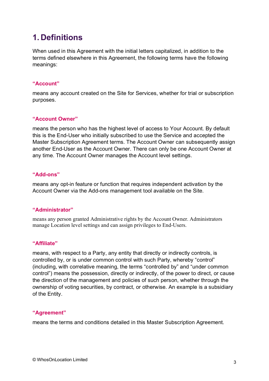# **1. Definitions**

When used in this Agreement with the initial letters capitalized, in addition to the terms defined elsewhere in this Agreement, the following terms have the following meanings:

#### **"Account"**

means any account created on the Site for Services, whether for trial or subscription purposes.

#### **"Account Owner"**

means the person who has the highest level of access to Your Account. By default this is the End-User who initially subscribed to use the Service and accepted the Master Subscription Agreement terms. The Account Owner can subsequently assign another End-User as the Account Owner. There can only be one Account Owner at any time. The Account Owner manages the Account level settings.

#### **"Add-ons"**

means any opt-in feature or function that requires independent activation by the Account Owner via the Add-ons management tool available on the Site.

#### **"Administrator"**

means any person granted Administrative rights by the Account Owner. Administrators manage Location level settings and can assign privileges to End-Users.

#### **"Affiliate"**

means, with respect to a Party, any entity that directly or indirectly controls, is controlled by, or is under common control with such Party, whereby "control" (including, with correlative meaning, the terms "controlled by" and "under common control") means the possession, directly or indirectly, of the power to direct, or cause the direction of the management and policies of such person, whether through the ownership of voting securities, by contract, or otherwise. An example is a subsidiary of the Entity.

#### **"Agreement"**

means the terms and conditions detailed in this Master Subscription Agreement.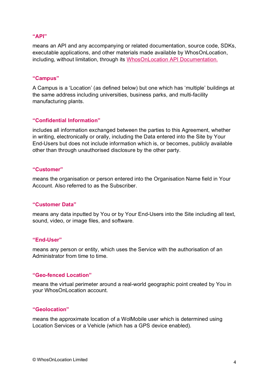#### **"API"**

means an API and any accompanying or related documentation, source code, SDKs, executable applications, and other materials made available by WhosOnLocation, including, without limitation, through its [WhosOnLocation API Documentation.](https://api.whosonlocation.com/)

#### **"Campus"**

A Campus is a 'Location' (as defined below) but one which has 'multiple' buildings at the same address including universities, business parks, and multi-facility manufacturing plants.

#### **"Confidential Information"**

includes all information exchanged between the parties to this Agreement, whether in writing, electronically or orally, including the Data entered into the Site by Your End-Users but does not include information which is, or becomes, publicly available other than through unauthorised disclosure by the other party.

#### **"Customer"**

means the organisation or person entered into the Organisation Name field in Your Account. Also referred to as the Subscriber.

#### **"Customer Data"**

means any data inputted by You or by Your End-Users into the Site including all text, sound, video, or image files, and software.

#### **"End-User"**

means any person or entity, which uses the Service with the authorisation of an Administrator from time to time.

#### **"Geo-fenced Location"**

means the virtual perimeter around a real-world geographic point created by You in your WhosOnLocation account.

#### **"Geolocation"**

means the approximate location of a WolMobile user which is determined using Location Services or a Vehicle (which has a GPS device enabled).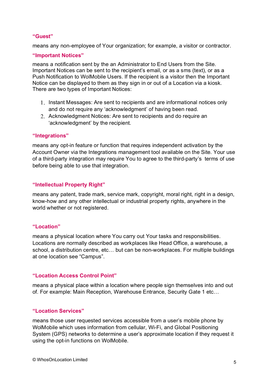#### **"Guest"**

means any non-employee of Your organization; for example, a visitor or contractor.

#### **"Important Notices"**

means a notification sent by the an Administrator to End Users from the Site. Important Notices can be sent to the recipient's email, or as a sms (text), or as a Push Notification to WolMobile Users. If the recipient is a visitor then the Important Notice can be displayed to them as they sign in or out of a Location via a kiosk. There are two types of Important Notices:

- 1. Instant Messages: Are sent to recipients and are informational notices only and do not require any 'acknowledgment' of having been read.
- 2. Acknowledgment Notices: Are sent to recipients and do require an 'acknowledgment' by the recipient.

#### **"Integrations"**

means any opt-in feature or function that requires independent activation by the Account Owner via the Integrations management tool available on the Site. Your use of a third-party integration may require You to agree to the third-party's terms of use before being able to use that integration.

#### **"Intellectual Property Right"**

means any patent, trade mark, service mark, copyright, moral right, right in a design, know-how and any other intellectual or industrial property rights, anywhere in the world whether or not registered.

#### **"Location"**

means a physical location where You carry out Your tasks and responsibilities. Locations are normally described as workplaces like Head Office, a warehouse, a school, a distribution centre, etc… but can be non-workplaces. For multiple buildings at one location see "Campus".

#### **"Location Access Control Point"**

means a physical place within a location where people sign themselves into and out of. For example: Main Reception, Warehouse Entrance, Security Gate 1 etc…

#### **"Location Services"**

means those user requested services accessible from a user's mobile phone by WolMobile which uses information from cellular, Wi-Fi, and Global Positioning System (GPS) networks to determine a user's approximate location if they request it using the opt-in functions on WolMobile.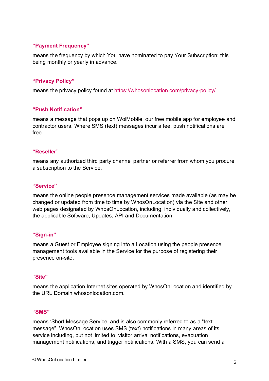#### **"Payment Frequency"**

means the frequency by which You have nominated to pay Your Subscription; this being monthly or yearly in advance.

#### **"Privacy Policy"**

means the privacy policy found at<https://whosonlocation.com/privacy-policy/>

#### **"Push Notification"**

means a message that pops up on WolMobile, our free mobile app for employee and contractor users. Where SMS (text) messages incur a fee, push notifications are free.

#### **"Reseller"**

means any authorized third party channel partner or referrer from whom you procure a subscription to the Service.

#### **"Service"**

means the online people presence management services made available (as may be changed or updated from time to time by WhosOnLocation) via the Site and other web pages designated by WhosOnLocation, including, individually and collectively, the applicable Software, Updates, API and Documentation.

#### **"Sign-in"**

means a Guest or Employee signing into a Location using the people presence management tools available in the Service for the purpose of registering their presence on-site.

#### **"Site"**

means the application Internet sites operated by WhosOnLocation and identified by the URL Domain whosonlocation.com.

#### **"SMS"**

means 'Short Message Service' and is also commonly referred to as a "text message". WhosOnLocation uses SMS (text) notifications in many areas of its service including, but not limited to, visitor arrival notifications, evacuation management notifications, and trigger notifications. With a SMS, you can send a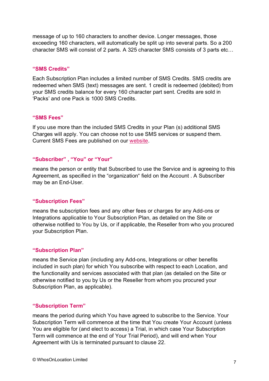message of up to 160 characters to another device. Longer messages, those exceeding 160 characters, will automatically be split up into several parts. So a 200 character SMS will consist of 2 parts. A 325 character SMS consists of 3 parts etc…

#### **"SMS Credits"**

Each Subscription Plan includes a limited number of SMS Credits. SMS credits are redeemed when SMS (text) messages are sent. 1 credit is redeemed (debited) from your SMS credits balance for every 160 character part sent. Credits are sold in 'Packs' and one Pack is 1000 SMS Credits.

#### **"SMS Fees"**

If you use more than the included SMS Credits in your Plan (s) additional SMS Charges will apply. You can choose not to use SMS services or suspend them. Current SMS Fees are published on our [website.](http://whosonlocation.com/pricing#SMSFees)

#### **"Subscriber" , "You" or "Your"**

means the person or entity that Subscribed to use the Service and is agreeing to this Agreement, as specified in the "organization" field on the Account . A Subscriber may be an End-User.

#### **"Subscription Fees"**

means the subscription fees and any other fees or charges for any Add-ons or Integrations applicable to Your Subscription Plan, as detailed on the Site or otherwise notified to You by Us, or if applicable, the Reseller from who you procured your Subscription Plan.

#### **"Subscription Plan"**

means the Service plan (including any Add-ons, Integrations or other benefits included in such plan) for which You subscribe with respect to each Location, and the functionality and services associated with that plan (as detailed on the Site or otherwise notified to you by Us or the Reseller from whom you procured your Subscription Plan, as applicable).

#### **"Subscription Term"**

means the period during which You have agreed to subscribe to the Service. Your Subscription Term will commence at the time that You create Your Account (unless You are eligible for (and elect to access) a Trial, in which case Your Subscription Term will commence at the end of Your Trial Period), and will end when Your Agreement with Us is terminated pursuant to clause 22.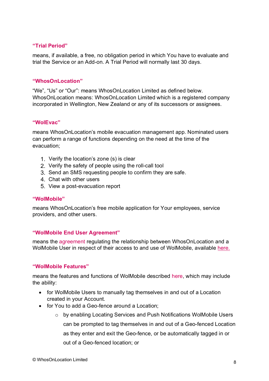#### **"Trial Period"**

means, if available, a free, no obligation period in which You have to evaluate and trial the Service or an Add-on. A Trial Period will normally last 30 days.

#### **"WhosOnLocation"**

"We", "Us" or "Our": means WhosOnLocation Limited as defined below. WhosOnLocation means: WhosOnLocation Limited which is a registered company incorporated in Wellington, New Zealand or any of its successors or assignees.

#### **"WolEvac"**

means WhosOnLocation's mobile evacuation management app. Nominated users can perform a range of functions depending on the need at the time of the evacuation;

- Verify the location's zone (s) is clear
- 2. Verify the safety of people using the roll-call tool
- 3. Send an SMS requesting people to confirm they are safe.
- Chat with other users
- 5. View a post-evacuation report

#### **"WolMobile"**

means WhosOnLocation's free mobile application for Your employees, service providers, and other users.

#### **"WolMobile End User Agreement"**

means the [agreement](https://whosonlocation.com/wolmobile-end-user-agreement/) regulating the relationship between WhosOnLocation and a WolMobile User in respect of their access to and use of WolMobile, available [here.](https://whosonlocation.com/wolmobile-end-user-agreement)

#### **"WolMobile Features"**

means the features and functions of WolMobile described [here,](https://whosonlocation.com/wolmobile) which may include the ability:

- for WolMobile Users to manually tag themselves in and out of a Location created in your Account.
- for You to add a Geo-fence around a Location:
	- $\circ$  by enabling Locating Services and Push Notifications WolMobile Users can be prompted to tag themselves in and out of a Geo-fenced Location as they enter and exit the Geo-fence, or be automatically tagged in or out of a Geo-fenced location; or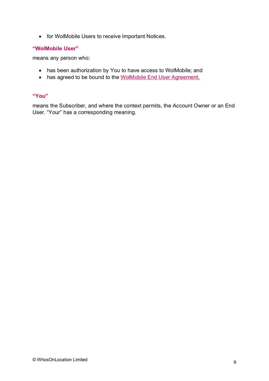• for WolMobile Users to receive Important Notices.

#### **"WolMobile User"**

means any person who:

- has been authorization by You to have access to WolMobile; and
- has agreed to be bound to the [WolMobile End User Agreement.](https://whosonlocation.com/wolmobile-end-user-agreement/)

#### **"You"**

means the Subscriber, and where the context permits, the Account Owner or an End User. "Your" has a corresponding meaning.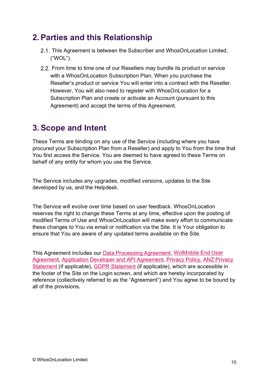## **2.Parties and this Relationship**

- 2.1. This Agreement is between the Subscriber and WhosOnLocation Limited, ("WOL").
- 2.2. From time to time one of our Resellers may bundle its product or service with a WhosOnLocation Subscription Plan. When you purchase the Reseller's product or service You will enter into a contract with the Reseller. However, You will also need to register with WhosOnLocation for a Subscription Plan and create or activate an Account (pursuant to this Agreement) and accept the terms of this Agreement.

# **3.Scope and Intent**

These Terms are binding on any use of the Service (including where you have procured your Subscription Plan from a Reseller) and apply to You from the time that You first access the Service. You are deemed to have agreed to these Terms on behalf of any entity for whom you use the Service.

The Service includes any upgrades, modified versions, updates to the Site developed by us, and the Helpdesk.

The Service will evolve over time based on user feedback. WhosOnLocation reserves the right to change these Terms at any time, effective upon the posting of modified Terms of Use and WhosOnLocation will make every effort to communicate these changes to You via email or notification via the Site. It is Your obligation to ensure that You are aware of any updated terms available on the Site.

This Agreement includes our [Data Processing Agreement,](https://whosonlocation.com/master-subscription-agreement/#ScheduleOne) [WolMobile End User](https://whosonlocation.com/wolmobile-end-user-agreement/)  [Agreement,](https://whosonlocation.com/wolmobile-end-user-agreement/) [Application Developer and API Agreement,](https://whosonlocation.com/wp-content/uploads/2021/12/Application-Developer-and-API-Agreement-Dec-6th-2021.pdf) [Privacy Policy,](https://whosonlocation.com/privacy-policy) [ANZ Privacy](https://whosonlocation.com/anz-policy)  [Statement](https://whosonlocation.com/anz-policy) (if applicable), [GDPR Statement](https://whosonlocation.com/gdpr) (if applicable), which are accessible in the footer of the Site on the Login screen, and which are hereby incorporated by reference (collectively referred to as the "Agreement") and You agree to be bound by all of the provisions.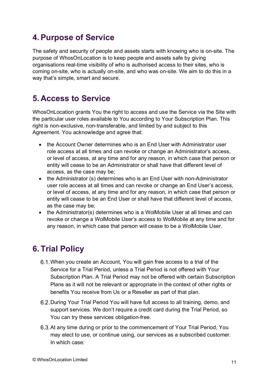## **4.Purpose of Service**

The safety and security of people and assets starts with knowing who is on-site. The purpose of WhosOnLocation is to keep people and assets safe by giving organisations real-time visibility of who is authorised access to their sites, who is coming on-site, who is actually on-site, and who was on-site. We aim to do this in a way that's simple, smart and secure.

# **5. Access to Service**

WhosOnLocation grants You the right to access and use the Service via the Site with the particular user roles available to You according to Your Subscription Plan. This right is non-exclusive, non-transferable, and limited by and subject to this Agreement. You acknowledge and agree that:

- the Account Owner determines who is an End User with Administrator user role access at all times and can revoke or change an Administrator's access, or level of access, at any time and for any reason, in which case that person or entity will cease to be an Administrator or shall have that different level of access, as the case may be;
- the Administrator (s) determines who is an End User with non-Administrator user role access at all times and can revoke or change an End User's access, or level of access, at any time and for any reason, in which case that person or entity will cease to be an End User or shall have that different level of access, as the case may be;
- the Administrator(s) determines who is a WolMobile User at all times and can revoke or change a WolMobile User's access to WolMobile at any time and for any reason, in which case that person will cease to be a WolMobile User.

# **6. Trial Policy**

- When you create an Account, You will gain free access to a trial of the Service for a Trial Period, unless a Trial Period is not offered with Your Subscription Plan. A Trial Period may not be offered with certain Subscription Plans as it will not be relevant or appropriate in the context of other rights or benefits You receive from Us or a Reseller as part of that plan.
- 6.2. During Your Trial Period You will have full access to all training, demo, and support services. We don't require a credit card during the Trial Period, so You can try these services obligation-free.
- 6.3. At any time during or prior to the commencement of Your Trial Period, You may elect to use, or continue using, our services as a subscribed customer. In which case: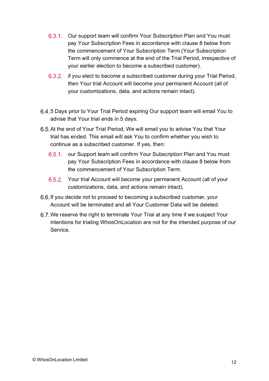- 6.3.1. Our support team will confirm Your Subscription Plan and You must pay Your Subscription Fees in accordance with clause 8 below from the commencement of Your Subscription Term (Your Subscription Term will only commence at the end of the Trial Period, irrespective of your earlier election to become a subscribed customer).
- 6.3.2. if you elect to become a subscribed customer during your Trial Period, then Your trial Account will become your permanent Account (all of your customizations, data, and actions remain intact).
- 5 Days prior to Your Trial Period expiring Our support team will email You to advise that Your trial ends in 5 days.
- 6.5. At the end of Your Trial Period, We will email you to advise You that Your trial has ended. This email will ask You to confirm whether you wish to continue as a subscribed customer. If yes, then:
	- 6.5.1. our Support team will confirm Your Subscription Plan and You must pay Your Subscription Fees in accordance with clause 8 below from the commencement of Your Subscription Term.
	- 6.5.2. Your trial Account will become your permanent Account (all of your customizations, data, and actions remain intact).
- 6.6. If you decide not to proceed to becoming a subscribed customer, your Account will be terminated and all Your Customer Data will be deleted.
- We reserve the right to terminate Your Trial at any time if we suspect Your intentions for trialing WhosOnLocation are not for the intended purpose of our Service.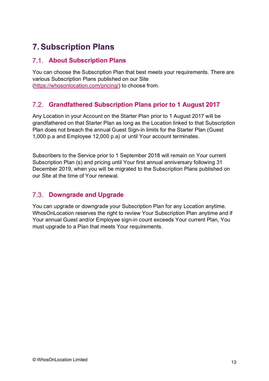# **7.Subscription Plans**

### **About Subscription Plans**

You can choose the Subscription Plan that best meets your requirements. There are various Subscription Plans published on our Site [\(https://whosonlocation.com/pricing/\)](https://whosonlocation.com/pricing/) to choose from.

### **Grandfathered Subscription Plans prior to 1 August 2017**

Any Location in your Account on the Starter Plan prior to 1 August 2017 will be grandfathered on that Starter Plan as long as the Location linked to that Subscription Plan does not breach the annual Guest Sign-in limits for the Starter Plan (Guest 1,000 p.a and Employee 12,000 p.a) or until Your account terminates.

Subscribers to the Service prior to 1 September 2018 will remain on Your current Subscription Plan (s) and pricing until Your first annual anniversary following 31 December 2019, when you will be migrated to the Subscription Plans published on our Site at the time of Your renewal.

### **Downgrade and Upgrade**

You can upgrade or downgrade your Subscription Plan for any Location anytime. WhosOnLocation reserves the right to review Your Subscription Plan anytime and if Your annual Guest and/or Employee sign-in count exceeds Your current Plan, You must upgrade to a Plan that meets Your requirements.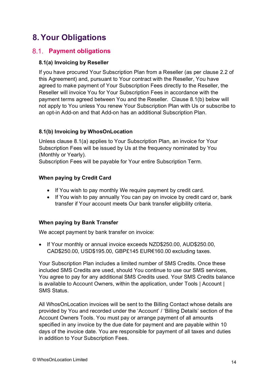# **8.Your Obligations**

### **Payment obligations**

#### **8.1(a) Invoicing by Reseller**

If you have procured Your Subscription Plan from a Reseller (as per clause 2.2 of this Agreement) and, pursuant to Your contract with the Reseller, You have agreed to make payment of Your Subscription Fees directly to the Reseller, the Reseller will invoice You for Your Subscription Fees in accordance with the payment terms agreed between You and the Reseller. Clause 8.1(b) below will not apply to You unless You renew Your Subscription Plan with Us or subscribe to an opt-in Add-on and that Add-on has an additional Subscription Plan.

#### **8.1(b) Invoicing by WhosOnLocation**

Unless clause 8.1(a) applies to Your Subscription Plan, an invoice for Your Subscription Fees will be issued by Us at the frequency nominated by You (Monthly or Yearly).

Subscription Fees will be payable for Your entire Subscription Term.

#### **When paying by Credit Card**

- If You wish to pay monthly We require payment by credit card.
- If You wish to pay annually You can pay on invoice by credit card or, bank transfer if Your account meets Our bank transfer eligibility criteria.

#### **When paying by Bank Transfer**

We accept payment by bank transfer on invoice:

• If Your monthly or annual invoice exceeds NZD\$250.00, AUD\$250.00, CAD\$250.00, USD\$195.00, GBP£145 EUR€160.00 excluding taxes.

Your Subscription Plan includes a limited number of SMS Credits. Once these included SMS Credits are used, should You continue to use our SMS services, You agree to pay for any additional SMS Credits used. Your SMS Credits balance is available to Account Owners, within the application, under Tools | Account | SMS Status.

All WhosOnLocation invoices will be sent to the Billing Contact whose details are provided by You and recorded under the 'Account' / 'Billing Details' section of the Account Owners Tools. You must pay or arrange payment of all amounts specified in any invoice by the due date for payment and are payable within 10 days of the invoice date. You are responsible for payment of all taxes and duties in addition to Your Subscription Fees.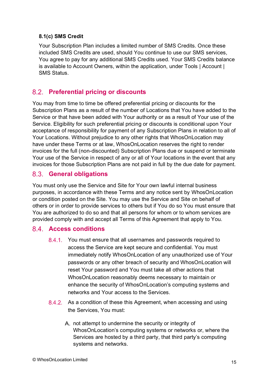#### **8.1(c) SMS Credit**

Your Subscription Plan includes a limited number of SMS Credits. Once these included SMS Credits are used, should You continue to use our SMS services, You agree to pay for any additional SMS Credits used. Your SMS Credits balance is available to Account Owners, within the application, under Tools | Account | SMS Status.

### **Preferential pricing or discounts**

You may from time to time be offered preferential pricing or discounts for the Subscription Plans as a result of the number of Locations that You have added to the Service or that have been added with Your authority or as a result of Your use of the Service. Eligibility for such preferential pricing or discounts is conditional upon Your acceptance of responsibility for payment of any Subscription Plans in relation to all of Your Locations. Without prejudice to any other rights that WhosOnLocation may have under these Terms or at law, WhosOnLocation reserves the right to render invoices for the full (non-discounted) Subscription Plans due or suspend or terminate Your use of the Service in respect of any or all of Your locations in the event that any invoices for those Subscription Plans are not paid in full by the due date for payment.

### **General obligations**

You must only use the Service and Site for Your own lawful internal business purposes, in accordance with these Terms and any notice sent by WhosOnLocation or condition posted on the Site. You may use the Service and Site on behalf of others or in order to provide services to others but if You do so You must ensure that You are authorized to do so and that all persons for whom or to whom services are provided comply with and accept all Terms of this Agreement that apply to You.

### **Access conditions**

- 8.4.1. You must ensure that all usernames and passwords required to access the Service are kept secure and confidential. You must immediately notify WhosOnLocation of any unauthorized use of Your passwords or any other breach of security and WhosOnLocation will reset Your password and You must take all other actions that WhosOnLocation reasonably deems necessary to maintain or enhance the security of WhosOnLocation's computing systems and networks and Your access to the Services.
- $8.4.2.$ As a condition of these this Agreement, when accessing and using the Services, You must:
	- A. not attempt to undermine the security or integrity of WhosOnLocation's computing systems or networks or, where the Services are hosted by a third party, that third party's computing systems and networks.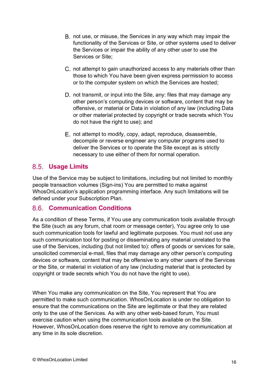- B. not use, or misuse, the Services in any way which may impair the functionality of the Services or Site, or other systems used to deliver the Services or impair the ability of any other user to use the Services or Site;
- C. not attempt to gain unauthorized access to any materials other than those to which You have been given express permission to access or to the computer system on which the Services are hosted;
- D. not transmit, or input into the Site, any: files that may damage any other person's computing devices or software, content that may be offensive, or material or Data in violation of any law (including Data or other material protected by copyright or trade secrets which You do not have the right to use); and
- E. not attempt to modify, copy, adapt, reproduce, disassemble, decompile or reverse engineer any computer programs used to deliver the Services or to operate the Site except as is strictly necessary to use either of them for normal operation.

### **Usage Limits**

Use of the Service may be subject to limitations, including but not limited to monthly people transaction volumes (Sign-ins) You are permitted to make against WhosOnLocation's application programming interface. Any such limitations will be defined under your Subscription Plan.

### **Communication Conditions**

As a condition of these Terms, if You use any communication tools available through the Site (such as any forum, chat room or message center), You agree only to use such communication tools for lawful and legitimate purposes. You must not use any such communication tool for posting or disseminating any material unrelated to the use of the Services, including (but not limited to): offers of goods or services for sale, unsolicited commercial e-mail, files that may damage any other person's computing devices or software, content that may be offensive to any other users of the Services or the Site, or material in violation of any law (including material that is protected by copyright or trade secrets which You do not have the right to use).

When You make any communication on the Site, You represent that You are permitted to make such communication. WhosOnLocation is under no obligation to ensure that the communications on the Site are legitimate or that they are related only to the use of the Services. As with any other web-based forum, You must exercise caution when using the communication tools available on the Site. However, WhosOnLocation does reserve the right to remove any communication at any time in its sole discretion.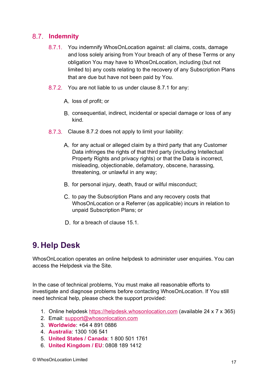### **Indemnity**

- 8.7.1. You indemnify WhosOnLocation against: all claims, costs, damage and loss solely arising from Your breach of any of these Terms or any obligation You may have to WhosOnLocation, including (but not limited to) any costs relating to the recovery of any Subscription Plans that are due but have not been paid by You.
- 8.7.2. You are not liable to us under clause 8.7.1 for any:
	- A. loss of profit; or
	- B. consequential, indirect, incidental or special damage or loss of any kind.
- 8.7.3. Clause 8.7.2 does not apply to limit your liability:
	- A. for any actual or alleged claim by a third party that any Customer Data infringes the rights of that third party (including Intellectual Property Rights and privacy rights) or that the Data is incorrect, misleading, objectionable, defamatory, obscene, harassing, threatening, or unlawful in any way;
	- B. for personal injury, death, fraud or wilful misconduct;
	- C. to pay the Subscription Plans and any recovery costs that WhosOnLocation or a Referrer (as applicable) incurs in relation to unpaid Subscription Plans; or
	- D, for a breach of clause 15.1.

# **9. Help Desk**

WhosOnLocation operates an online helpdesk to administer user enquiries. You can access the Helpdesk via the Site.

In the case of technical problems, You must make all reasonable efforts to investigate and diagnose problems before contacting WhosOnLocation. If You still need technical help, please check the support provided:

- 1. Online helpdesk [https://helpdesk.whosonlocation.com](https://helpdesk.whosonlocation.com/) (available 24 x 7 x 365)
- 2. Email: [support@whosonlocation.com](mailto:support@whosonlocation.com)
- 3. **Worldwide**: +64 4 891 0886
- 4. **Australia**: 1300 106 541
- 5. **United States / Canada**: 1 800 501 1761
- 6. **United Kingdom / EU**: 0808 189 1412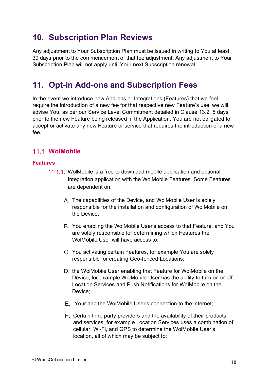## **10. Subscription Plan Reviews**

Any adjustment to Your Subscription Plan must be issued in writing to You at least 30 days prior to the commencement of that fee adjustment. Any adjustment to Your Subscription Plan will not apply until Your next Subscription renewal.

## **11. Opt-in Add-ons and Subscription Fees**

In the event we introduce new Add-ons or Integrations (Features) that we feel require the introduction of a new fee for that respective new Feature's use; we will advise You, as per our Service Level Commitment detailed in Clause 13.2, 5 days prior to the new Feature being released in the Application. You are not obligated to accept or activate any new Feature or service that requires the introduction of a new fee.

### **WolMobile**

#### **Features**

- 11.1.1. WolMobile is a free to download mobile application and optional Integration application with the WolMobile Features. Some Features are dependent on:
	- A. The capabilities of the Device, and WolMobile User is solely responsible for the installation and configuration of WolMobile on the Device.
	- You enabling the WolMobile User's access to that Feature, and You are solely responsible for determining which Features the WolMobile User will have access to;
	- You activating certain Features, for example You are solely responsible for creating Geo-fenced Locations;
	- D. the WolMobile User enabling that Feature for WolMobile on the Device, for example WolMobile User has the ability to turn on or off Location Services and Push Notifications for WolMobile on the Device;
	- Your and the WolMobile User's connection to the internet;
	- F. Certain third party providers and the availability of their products and services, for example Location Services uses a combination of cellular, Wi-Fi, and GPS to determine the WolMobile User's location, all of which may be subject to: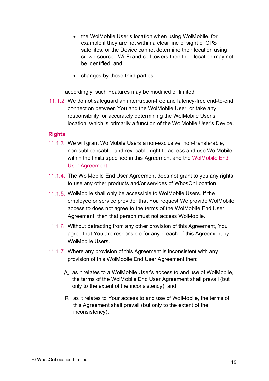- the WolMobile User's location when using WolMobile, for example if they are not within a clear line of sight of GPS satellites, or the Device cannot determine their location using crowd-sourced Wi-Fi and cell towers then their location may not be identified; and
- changes by those third parties,

accordingly, such Features may be modified or limited.

11.1.2. We do not safeguard an interruption-free and latency-free end-to-end connection between You and the WolMobile User, or take any responsibility for accurately determining the WolMobile User's location, which is primarily a function of the WolMobile User's Device.

#### **Rights**

- 11.1.3. We will grant WolMobile Users a non-exclusive, non-transferable, non-sublicensable, and revocable right to access and use WolMobile within the limits specified in this Agreement and the [WolMobile End](https://whosonlocation.com/wolmobile-end-user-agreement/)  [User Agreement.](https://whosonlocation.com/wolmobile-end-user-agreement/)
- 11.1.4. The WolMobile End User Agreement does not grant to you any rights to use any other products and/or services of WhosOnLocation.
- 11.1.5. WolMobile shall only be accessible to WolMobile Users. If the employee or service provider that You request We provide WolMobile access to does not agree to the terms of the WolMobile End User Agreement, then that person must not access WolMobile.
- 11.1.6. Without detracting from any other provision of this Agreement, You agree that You are responsible for any breach of this Agreement by WolMobile Users.
- 11.1.7. Where any provision of this Agreement is inconsistent with any provision of this WolMobile End User Agreement then:
	- A. as it relates to a WolMobile User's access to and use of WolMobile, the terms of the WolMobile End User Agreement shall prevail (but only to the extent of the inconsistency); and
	- B, as it relates to Your access to and use of WolMobile, the terms of this Agreement shall prevail (but only to the extent of the inconsistency).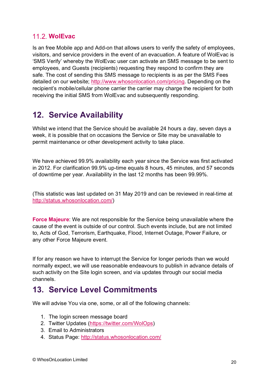### **11.2. WolEvac**

Is an free Mobile app and Add-on that allows users to verify the safety of employees, visitors, and service providers in the event of an evacuation. A feature of WolEvac is 'SMS Verify' whereby the WolEvac user can activate an SMS message to be sent to employees, and Guests (recipients) requesting they respond to confirm they are safe. The cost of sending this SMS message to recipients is as per the SMS Fees detailed on our website; [http://www.whosonlocation.com/pricing.](http://www.whosonlocation.com/pricing) Depending on the recipient's mobile/cellular phone carrier the carrier may charge the recipient for both receiving the initial SMS from WolEvac and subsequently responding.

## **12. Service Availability**

Whilst we intend that the Service should be available 24 hours a day, seven days a week, it is possible that on occasions the Service or Site may be unavailable to permit maintenance or other development activity to take place.

We have achieved 99.9% availability each year since the Service was first activated in 2012. For clarification 99.9% up-time equals 8 hours, 45 minutes, and 57 seconds of downtime per year. Availability in the last 12 months has been 99.99%.

(This statistic was last updated on 31 May 2019 and can be reviewed in real-time at [http://status.whosonlocation.com/\)](http://status.whosonlocation.com/)

**Force Majeure**: We are not responsible for the Service being unavailable where the cause of the event is outside of our control. Such events include, but are not limited to, Acts of God, Terrorism, Earthquake, Flood, Internet Outage, Power Failure, or any other Force Majeure event.

If for any reason we have to interrupt the Service for longer periods than we would normally expect, we will use reasonable endeavours to publish in advance details of such activity on the Site login screen, and via updates through our social media channels.

## **13. Service Level Commitments**

We will advise You via one, some, or all of the following channels:

- 1. The login screen message board
- 2. Twitter Updates [\(https://twitter.com/WolOps\)](https://twitter.com/WolOps)
- 3. Email to Administrators
- 4. Status Page:<http://status.whosonlocation.com/>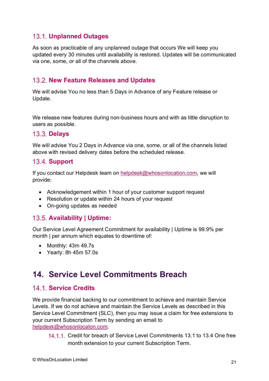### **Unplanned Outages**

As soon as practicable of any unplanned outage that occurs We will keep you updated every 30 minutes until availability is restored. Updates will be communicated via one, some, or all of the channels above.

### **13.2. New Feature Releases and Updates**

We will advise You no less than 5 Days in Advance of any Feature release or Update.

We release new features during non-business hours and with as little disruption to users as possible.

#### **13.3. Delays**

We will advise You 2 Days in Advance via one, some, or all of the channels listed above with revised delivery dates before the scheduled release.

### **13.4. Support**

If you contact our Helpdesk team on [helpdesk@whosonlocation.com,](mailto:helpdesk@whosonlocation.com) we will provide:

- Acknowledgement within 1 hour of your customer support request
- Resolution or update within 24 hours of your request
- On-going updates as needed

### **Availability | Uptime:**

Our Service Level Agreement Commitment for availability | Uptime is 99.9% per month I per annum which equates to downtime of:

- Monthly: 43m 49.7s
- Yearly: 8h 45m 57.0s

## **14. Service Level Commitments Breach**

### 14.1. Service Credits

We provide financial backing to our commitment to achieve and maintain Service Levels. If we do not achieve and maintain the Service Levels as described in this Service Level Commitment (SLC), then you may issue a claim for free extensions to your current Subscription Term by sending an email to [helpdesk@whosonlocaton.com.](mailto:helpdesk@whosonlocaton.com)

14.1.1. Credit for breach of Service Level Commitments 13.1 to 13.4 One free month extension to your current Subscription Term.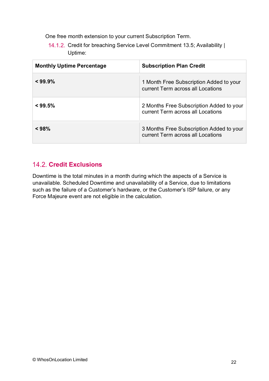One free month extension to your current Subscription Term.

14.1.2. Credit for breaching Service Level Commitment 13.5; Availability | Uptime:

| <b>Monthly Uptime Percentage</b> | <b>Subscription Plan Credit</b>                                               |
|----------------------------------|-------------------------------------------------------------------------------|
| $<$ 99.9%                        | 1 Month Free Subscription Added to your<br>current Term across all Locations  |
| $<$ 99.5%                        | 2 Months Free Subscription Added to your<br>current Term across all Locations |
| < 98%                            | 3 Months Free Subscription Added to your<br>current Term across all Locations |

### **Credit Exclusions**

Downtime is the total minutes in a month during which the aspects of a Service is unavailable. Scheduled Downtime and unavailability of a Service, due to limitations such as the failure of a Customer's hardware, or the Customer's ISP failure, or any Force Majeure event are not eligible in the calculation.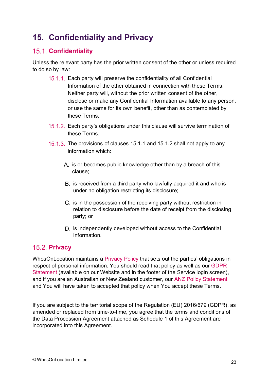# **15. Confidentiality and Privacy**

### 15.1. **Confidentiality**

Unless the relevant party has the prior written consent of the other or unless required to do so by law:

- 15.1.1. Each party will preserve the confidentiality of all Confidential Information of the other obtained in connection with these Terms. Neither party will, without the prior written consent of the other, disclose or make any Confidential Information available to any person, or use the same for its own benefit, other than as contemplated by these Terms.
- 15.1.2. Each party's obligations under this clause will survive termination of these Terms.
- 15.1.3. The provisions of clauses 15.1.1 and 15.1.2 shall not apply to any information which:
	- A. is or becomes public knowledge other than by a breach of this clause;
	- B. is received from a third party who lawfully acquired it and who is under no obligation restricting its disclosure;
	- C. is in the possession of the receiving party without restriction in relation to disclosure before the date of receipt from the disclosing party; or
	- D. is independently developed without access to the Confidential Information.

### **15.2. Privacy**

WhosOnLocation maintains a [Privacy Policy](https://whosonlocation.com/privacy-policy/) that sets out the parties' obligations in respect of personal information. You should read that policy as well as our [GDPR](https://whosonlocation.com/gdpr/)  [Statement](https://whosonlocation.com/gdpr/) (available on our Website and in the footer of the Service login screen), and if you are an Australian or New Zealand customer, our [ANZ Policy Statement](https://whosonlocation.com/anz-policy/) and You will have taken to accepted that policy when You accept these Terms.

If you are subject to the territorial scope of the Regulation (EU) 2016/679 (GDPR), as amended or replaced from time-to-time, you agree that the terms and conditions of the Data Procession Agreement attached as Schedule 1 of this Agreement are incorporated into this Agreement.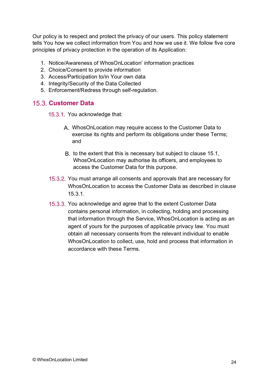Our policy is to respect and protect the privacy of our users. This policy statement tells You how we collect information from You and how we use it. We follow five core principles of privacy protection in the operation of its Application:

- 1. Notice/Awareness of WhosOnLocation' information practices
- 2. Choice/Consent to provide information
- 3. Access/Participation to/in Your own data
- 4. Integrity/Security of the Data Collected
- 5. Enforcement/Redress through self-regulation.

#### **15.3. Customer Data**

15.3.1. You acknowledge that:

- A. WhosOnLocation may require access to the Customer Data to exercise its rights and perform its obligations under these Terms; and
- B. to the extent that this is necessary but subject to clause 15.1, WhosOnLocation may authorise its officers, and employees to access the Customer Data for this purpose.
- 15.3.2. You must arrange all consents and approvals that are necessary for WhosOnLocation to access the Customer Data as described in clause 15.3.1.
- 15.3.3. You acknowledge and agree that to the extent Customer Data contains personal information, in collecting, holding and processing that information through the Service, WhosOnLocation is acting as an agent of yours for the purposes of applicable privacy law. You must obtain all necessary consents from the relevant individual to enable WhosOnLocation to collect, use, hold and process that information in accordance with these Terms.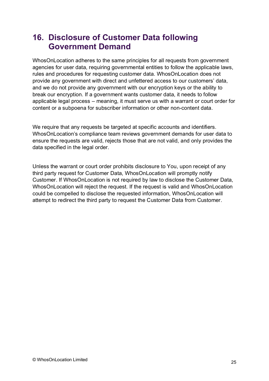## **16. Disclosure of Customer Data following Government Demand**

WhosOnLocation adheres to the same principles for all requests from government agencies for user data, requiring governmental entities to follow the applicable laws, rules and procedures for requesting customer data. WhosOnLocation does not provide any government with direct and unfettered access to our customers' data, and we do not provide any government with our encryption keys or the ability to break our encryption. If a government wants customer data, it needs to follow applicable legal process – meaning, it must serve us with a warrant or court order for content or a subpoena for subscriber information or other non-content data.

We require that any requests be targeted at specific accounts and identifiers. WhosOnLocation's compliance team reviews government demands for user data to ensure the requests are valid, rejects those that are not valid, and only provides the data specified in the legal order.

Unless the warrant or court order prohibits disclosure to You, upon receipt of any third party request for Customer Data, WhosOnLocation will promptly notify Customer. If WhosOnLocation is not required by law to disclose the Customer Data, WhosOnLocation will reject the request. If the request is valid and WhosOnLocation could be compelled to disclose the requested information, WhosOnLocation will attempt to redirect the third party to request the Customer Data from Customer.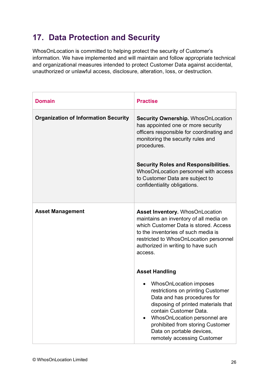# **17. Data Protection and Security**

WhosOnLocation is committed to helping protect the security of Customer's information. We have implemented and will maintain and follow appropriate technical and organizational measures intended to protect Customer Data against accidental, unauthorized or unlawful access, disclosure, alteration, loss, or destruction.

| <b>Domain</b>                               | <b>Practise</b>                                                                                                                                                                                                                                                                                                                            |
|---------------------------------------------|--------------------------------------------------------------------------------------------------------------------------------------------------------------------------------------------------------------------------------------------------------------------------------------------------------------------------------------------|
| <b>Organization of Information Security</b> | <b>Security Ownership. WhosOnLocation</b><br>has appointed one or more security<br>officers responsible for coordinating and<br>monitoring the security rules and<br>procedures.<br><b>Security Roles and Responsibilities.</b><br>WhosOnLocation personnel with access<br>to Customer Data are subject to<br>confidentiality obligations. |
| <b>Asset Management</b>                     | <b>Asset Inventory. WhosOnLocation</b><br>maintains an inventory of all media on<br>which Customer Data is stored. Access<br>to the inventories of such media is<br>restricted to WhosOnLocation personnel<br>authorized in writing to have such<br>access.                                                                                |
|                                             | <b>Asset Handling</b>                                                                                                                                                                                                                                                                                                                      |
|                                             | <b>WhosOnLocation imposes</b><br>restrictions on printing Customer<br>Data and has procedures for<br>disposing of printed materials that<br>contain Customer Data.<br>WhosOnLocation personnel are<br>prohibited from storing Customer<br>Data on portable devices,<br>remotely accessing Customer                                         |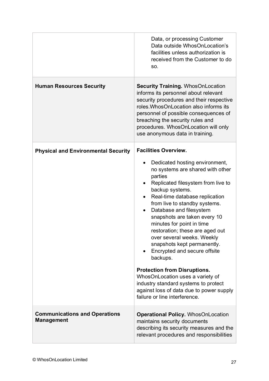|                                                           | Data, or processing Customer<br>Data outside WhosOnLocation's<br>facilities unless authorization is<br>received from the Customer to do<br>SO.                                                                                                                                                                                                                                                                                                                                                                                                                                                                                                                                            |
|-----------------------------------------------------------|-------------------------------------------------------------------------------------------------------------------------------------------------------------------------------------------------------------------------------------------------------------------------------------------------------------------------------------------------------------------------------------------------------------------------------------------------------------------------------------------------------------------------------------------------------------------------------------------------------------------------------------------------------------------------------------------|
| <b>Human Resources Security</b>                           | <b>Security Training. WhosOnLocation</b><br>informs its personnel about relevant<br>security procedures and their respective<br>roles. Whos On Location also informs its<br>personnel of possible consequences of<br>breaching the security rules and<br>procedures. WhosOnLocation will only<br>use anonymous data in training.                                                                                                                                                                                                                                                                                                                                                          |
| <b>Physical and Environmental Security</b>                | <b>Facilities Overview.</b><br>Dedicated hosting environment,<br>no systems are shared with other<br>parties<br>Replicated filesystem from live to<br>backup systems.<br>Real-time database replication<br>from live to standby systems.<br>Database and filesystem<br>$\bullet$<br>snapshots are taken every 10<br>minutes for point in time<br>restoration; these are aged out<br>over several weeks. Weekly<br>snapshots kept permanently.<br>Encrypted and secure offsite<br>backups.<br><b>Protection from Disruptions.</b><br>WhosOnLocation uses a variety of<br>industry standard systems to protect<br>against loss of data due to power supply<br>failure or line interference. |
| <b>Communications and Operations</b><br><b>Management</b> | <b>Operational Policy. WhosOnLocation</b><br>maintains security documents<br>describing its security measures and the<br>relevant procedures and responsibilities                                                                                                                                                                                                                                                                                                                                                                                                                                                                                                                         |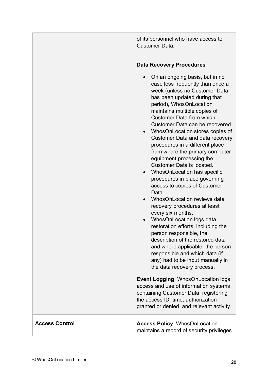of its personnel who have access to Customer Data.

### **Data Recovery Procedures**

|                       | On an ongoing basis, but in no<br>case less frequently than once a<br>week (unless no Customer Data<br>has been updated during that<br>period), WhosOnLocation<br>maintains multiple copies of<br><b>Customer Data from which</b><br>Customer Data can be recovered.<br>• WhosOnLocation stores copies of<br>Customer Data and data recovery<br>procedures in a different place<br>from where the primary computer<br>equipment processing the<br>Customer Data is located.<br>WhosOnLocation has specific<br>$\bullet$<br>procedures in place governing<br>access to copies of Customer<br>Data.<br>WhosOnLocation reviews data<br>recovery procedures at least<br>every six months.<br>WhosOnLocation logs data<br>restoration efforts, including the<br>person responsible, the<br>description of the restored data<br>and where applicable, the person<br>responsible and which data (if<br>any) had to be input manually in<br>the data recovery process.<br><b>Event Logging. WhosOnLocation logs</b><br>access and use of information systems<br>containing Customer Data, registering<br>the access ID, time, authorization<br>granted or denied, and relevant activity. |
|-----------------------|----------------------------------------------------------------------------------------------------------------------------------------------------------------------------------------------------------------------------------------------------------------------------------------------------------------------------------------------------------------------------------------------------------------------------------------------------------------------------------------------------------------------------------------------------------------------------------------------------------------------------------------------------------------------------------------------------------------------------------------------------------------------------------------------------------------------------------------------------------------------------------------------------------------------------------------------------------------------------------------------------------------------------------------------------------------------------------------------------------------------------------------------------------------------------------|
| <b>Access Control</b> | <b>Access Policy. WhosOnLocation</b><br>maintains a record of security privileges                                                                                                                                                                                                                                                                                                                                                                                                                                                                                                                                                                                                                                                                                                                                                                                                                                                                                                                                                                                                                                                                                                |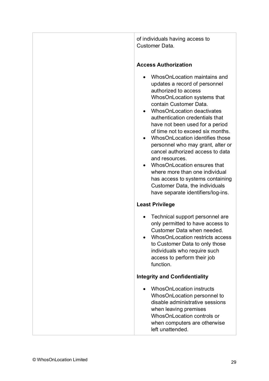of individuals having access to Customer Data.

#### **Access Authorization**

- WhosOnLocation maintains and updates a record of personnel authorized to access WhosOnLocation systems that contain Customer Data.
- WhosOnLocation deactivates authentication credentials that have not been used for a period of time not to exceed six months.
- WhosOnLocation identifies those personnel who may grant, alter or cancel authorized access to data and resources.
- WhosOnLocation ensures that where more than one individual has access to systems containing Customer Data, the individuals have separate identifiers/log-ins.

### **Least Privilege**

- Technical support personnel are only permitted to have access to Customer Data when needed.
- WhosOnLocation restricts access to Customer Data to only those individuals who require such access to perform their job function.

### **Integrity and Confidentiality**

• WhosOnLocation instructs WhosOnLocation personnel to disable administrative sessions when leaving premises WhosOnLocation controls or when computers are otherwise left unattended.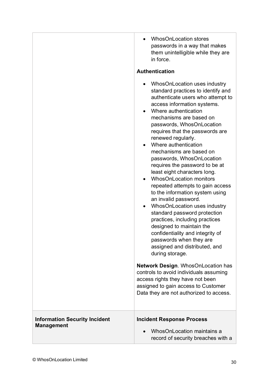|                                                           | <b>WhosOnLocation stores</b><br>passwords in a way that makes<br>them unintelligible while they are<br>in force.                                                                                                                                                                                                                                                                                                                                                                                                                                                                                                                                                                                                                                                                                                    |
|-----------------------------------------------------------|---------------------------------------------------------------------------------------------------------------------------------------------------------------------------------------------------------------------------------------------------------------------------------------------------------------------------------------------------------------------------------------------------------------------------------------------------------------------------------------------------------------------------------------------------------------------------------------------------------------------------------------------------------------------------------------------------------------------------------------------------------------------------------------------------------------------|
|                                                           | <b>Authentication</b>                                                                                                                                                                                                                                                                                                                                                                                                                                                                                                                                                                                                                                                                                                                                                                                               |
|                                                           | WhosOnLocation uses industry<br>standard practices to identify and<br>authenticate users who attempt to<br>access information systems.<br>Where authentication<br>mechanisms are based on<br>passwords, WhosOnLocation<br>requires that the passwords are<br>renewed regularly.<br>Where authentication<br>mechanisms are based on<br>passwords, WhosOnLocation<br>requires the password to be at<br>least eight characters long.<br><b>WhosOnLocation monitors</b><br>repeated attempts to gain access<br>to the information system using<br>an invalid password.<br>WhosOnLocation uses industry<br>standard password protection<br>practices, including practices<br>designed to maintain the<br>confidentiality and integrity of<br>passwords when they are<br>assigned and distributed, and<br>during storage. |
|                                                           | <b>Network Design. WhosOnLocation has</b><br>controls to avoid individuals assuming<br>access rights they have not been<br>assigned to gain access to Customer<br>Data they are not authorized to access.                                                                                                                                                                                                                                                                                                                                                                                                                                                                                                                                                                                                           |
| <b>Information Security Incident</b><br><b>Management</b> | <b>Incident Response Process</b><br>WhosOnLocation maintains a<br>record of security breaches with a                                                                                                                                                                                                                                                                                                                                                                                                                                                                                                                                                                                                                                                                                                                |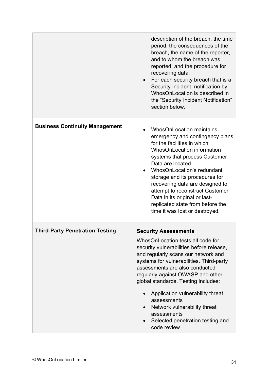|                                        | description of the breach, the time<br>period, the consequences of the<br>breach, the name of the reporter,<br>and to whom the breach was<br>reported, and the procedure for<br>recovering data.<br>For each security breach that is a<br>Security Incident, notification by<br>WhosOnLocation is described in<br>the "Security Incident Notification"<br>section below.                                                                                           |
|----------------------------------------|--------------------------------------------------------------------------------------------------------------------------------------------------------------------------------------------------------------------------------------------------------------------------------------------------------------------------------------------------------------------------------------------------------------------------------------------------------------------|
| <b>Business Continuity Management</b>  | <b>WhosOnLocation maintains</b><br>emergency and contingency plans<br>for the facilities in which<br><b>WhosOnLocation information</b><br>systems that process Customer<br>Data are located.<br>WhosOnLocation's redundant<br>storage and its procedures for<br>recovering data are designed to<br>attempt to reconstruct Customer<br>Data in its original or last-<br>replicated state from before the<br>time it was lost or destroyed.                          |
| <b>Third-Party Penetration Testing</b> | <b>Security Assessments</b><br>WhosOnLocation tests all code for<br>security vulnerabilities before release,<br>and regularly scans our network and<br>systems for vulnerabilities. Third-party<br>assessments are also conducted<br>regularly against OWASP and other<br>global standards. Testing includes:<br>Application vulnerability threat<br>assessments<br>Network vulnerability threat<br>assessments<br>Selected penetration testing and<br>code review |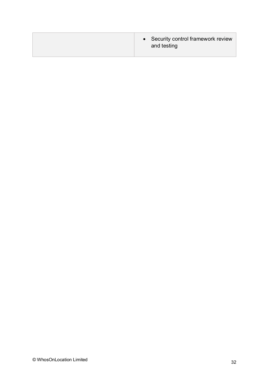| and testing |
|-------------|
|             |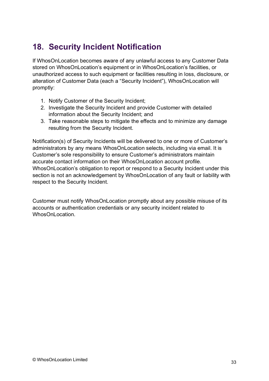# **18. Security Incident Notification**

If WhosOnLocation becomes aware of any unlawful access to any Customer Data stored on WhosOnLocation's equipment or in WhosOnLocation's facilities, or unauthorized access to such equipment or facilities resulting in loss, disclosure, or alteration of Customer Data (each a "Security Incident"), WhosOnLocation will promptly:

- 1. Notify Customer of the Security Incident;
- 2. Investigate the Security Incident and provide Customer with detailed information about the Security Incident; and
- 3. Take reasonable steps to mitigate the effects and to minimize any damage resulting from the Security Incident.

Notification(s) of Security Incidents will be delivered to one or more of Customer's administrators by any means WhosOnLocation selects, including via email. It is Customer's sole responsibility to ensure Customer's administrators maintain accurate contact information on their WhosOnLocation account profile. WhosOnLocation's obligation to report or respond to a Security Incident under this section is not an acknowledgement by WhosOnLocation of any fault or liability with respect to the Security Incident.

Customer must notify WhosOnLocation promptly about any possible misuse of its accounts or authentication credentials or any security incident related to WhosOnLocation.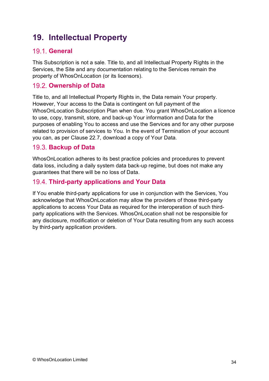# **19. Intellectual Property**

### **19.1. General**

This Subscription is not a sale. Title to, and all Intellectual Property Rights in the Services, the Site and any documentation relating to the Services remain the property of WhosOnLocation (or its licensors).

### **Ownership of Data**

Title to, and all Intellectual Property Rights in, the Data remain Your property. However, Your access to the Data is contingent on full payment of the WhosOnLocation Subscription Plan when due. You grant WhosOnLocation a licence to use, copy, transmit, store, and back-up Your information and Data for the purposes of enabling You to access and use the Services and for any other purpose related to provision of services to You. In the event of Termination of your account you can, as per Clause 22.7, download a copy of Your Data.

### **Backup of Data**

WhosOnLocation adheres to its best practice policies and procedures to prevent data loss, including a daily system data back-up regime, but does not make any guarantees that there will be no loss of Data.

### **Third-party applications and Your Data**

If You enable third-party applications for use in conjunction with the Services, You acknowledge that WhosOnLocation may allow the providers of those third-party applications to access Your Data as required for the interoperation of such thirdparty applications with the Services. WhosOnLocation shall not be responsible for any disclosure, modification or deletion of Your Data resulting from any such access by third-party application providers.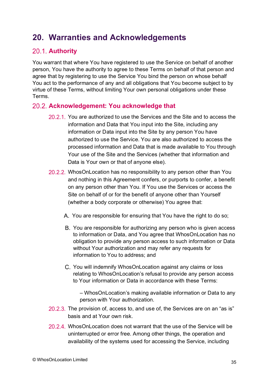# **20. Warranties and Acknowledgements**

### 20.1. Authority

You warrant that where You have registered to use the Service on behalf of another person, You have the authority to agree to these Terms on behalf of that person and agree that by registering to use the Service You bind the person on whose behalf You act to the performance of any and all obligations that You become subject to by virtue of these Terms, without limiting Your own personal obligations under these Terms.

### **Acknowledgement: You acknowledge that**

- 20.2.1. You are authorized to use the Services and the Site and to access the information and Data that You input into the Site, including any information or Data input into the Site by any person You have authorized to use the Service. You are also authorized to access the processed information and Data that is made available to You through Your use of the Site and the Services (whether that information and Data is Your own or that of anyone else).
- 20.2.2. WhosOnLocation has no responsibility to any person other than You and nothing in this Agreement confers, or purports to confer, a benefit on any person other than You. If You use the Services or access the Site on behalf of or for the benefit of anyone other than Yourself (whether a body corporate or otherwise) You agree that:
	- A. You are responsible for ensuring that You have the right to do so;
	- B. You are responsible for authorizing any person who is given access to information or Data, and You agree that WhosOnLocation has no obligation to provide any person access to such information or Data without Your authorization and may refer any requests for information to You to address; and
	- You will indemnify WhosOnLocation against any claims or loss relating to WhosOnLocation's refusal to provide any person access to Your information or Data in accordance with these Terms:

– WhosOnLocation's making available information or Data to any person with Your authorization.

- 20.2.3. The provision of, access to, and use of, the Services are on an "as is" basis and at Your own risk.
- 20.2.4. WhosOnLocation does not warrant that the use of the Service will be uninterrupted or error free. Among other things, the operation and availability of the systems used for accessing the Service, including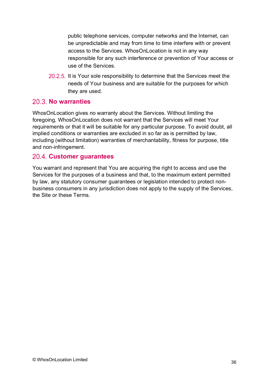public telephone services, computer networks and the Internet, can be unpredictable and may from time to time interfere with or prevent access to the Services. WhosOnLocation is not in any way responsible for any such interference or prevention of Your access or use of the Services.

20.2.5. It is Your sole responsibility to determine that the Services meet the needs of Your business and are suitable for the purposes for which they are used.

### 20.3. No warranties

WhosOnLocation gives no warranty about the Services. Without limiting the foregoing, WhosOnLocation does not warrant that the Services will meet Your requirements or that it will be suitable for any particular purpose. To avoid doubt, all implied conditions or warranties are excluded in so far as is permitted by law, including (without limitation) warranties of merchantability, fitness for purpose, title and non-infringement.

### **Customer guarantees**

You warrant and represent that You are acquiring the right to access and use the Services for the purposes of a business and that, to the maximum extent permitted by law, any statutory consumer guarantees or legislation intended to protect nonbusiness consumers in any jurisdiction does not apply to the supply of the Services, the Site or these Terms.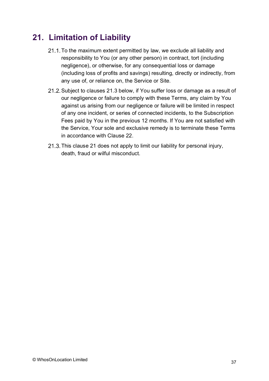# **21. Limitation of Liability**

- 21.1. To the maximum extent permitted by law, we exclude all liability and responsibility to You (or any other person) in contract, tort (including negligence), or otherwise, for any consequential loss or damage (including loss of profits and savings) resulting, directly or indirectly, from any use of, or reliance on, the Service or Site.
- 21.2. Subject to clauses 21.3 below, if You suffer loss or damage as a result of our negligence or failure to comply with these Terms, any claim by You against us arising from our negligence or failure will be limited in respect of any one incident, or series of connected incidents, to the Subscription Fees paid by You in the previous 12 months. If You are not satisfied with the Service, Your sole and exclusive remedy is to terminate these Terms in accordance with Clause 22.
- 21.3. This clause 21 does not apply to limit our liability for personal injury, death, fraud or wilful misconduct.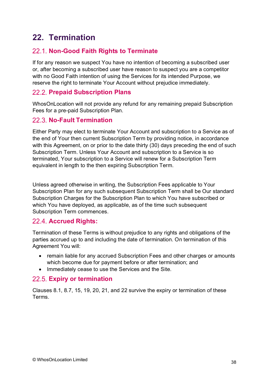# **22. Termination**

### **Non-Good Faith Rights to Terminate**

If for any reason we suspect You have no intention of becoming a subscribed user or, after becoming a subscribed user have reason to suspect you are a competitor with no Good Faith intention of using the Services for its intended Purpose, we reserve the right to terminate Your Account without prejudice immediately.

### **Prepaid Subscription Plans**

WhosOnLocation will not provide any refund for any remaining prepaid Subscription Fees for a pre-paid Subscription Plan.

### **No-Fault Termination**

Either Party may elect to terminate Your Account and subscription to a Service as of the end of Your then current Subscription Term by providing notice, in accordance with this Agreement, on or prior to the date thirty (30) days preceding the end of such Subscription Term. Unless Your Account and subscription to a Service is so terminated, Your subscription to a Service will renew for a Subscription Term equivalent in length to the then expiring Subscription Term.

Unless agreed otherwise in writing, the Subscription Fees applicable to Your Subscription Plan for any such subsequent Subscription Term shall be Our standard Subscription Charges for the Subscription Plan to which You have subscribed or which You have deployed, as applicable, as of the time such subsequent Subscription Term commences.

### **Accrued Rights:**

Termination of these Terms is without prejudice to any rights and obligations of the parties accrued up to and including the date of termination. On termination of this Agreement You will:

- remain liable for any accrued Subscription Fees and other charges or amounts which become due for payment before or after termination; and
- Immediately cease to use the Services and the Site.

### **Expiry or termination**

Clauses 8.1, 8.7, 15, 19, 20, 21, and 22 survive the expiry or termination of these Terms.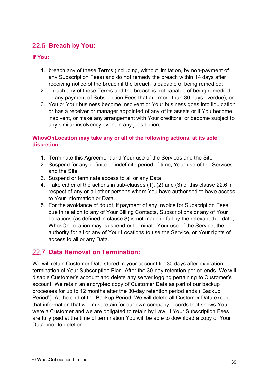### **Breach by You:**

#### **If You:**

- 1. breach any of these Terms (including, without limitation, by non-payment of any Subscription Fees) and do not remedy the breach within 14 days after receiving notice of the breach if the breach is capable of being remedied;
- 2. breach any of these Terms and the breach is not capable of being remedied or any payment of Subscription Fees that are more than 30 days overdue); or
- 3. You or Your business become insolvent or Your business goes into liquidation or has a receiver or manager appointed of any of its assets or if You become insolvent, or make any arrangement with Your creditors, or become subject to any similar insolvency event in any jurisdiction,

#### **WhosOnLocation may take any or all of the following actions, at its sole discretion:**

- 1. Terminate this Agreement and Your use of the Services and the Site;
- 2. Suspend for any definite or indefinite period of time, Your use of the Services and the Site;
- 3. Suspend or terminate access to all or any Data.
- 4. Take either of the actions in sub-clauses (1), (2) and (3) of this clause 22.6 in respect of any or all other persons whom You have authorised to have access to Your information or Data.
- 5. For the avoidance of doubt, if payment of any invoice for Subscription Fees due in relation to any of Your Billing Contacts, Subscriptions or any of Your Locations (as defined in clause 8) is not made in full by the relevant due date, WhosOnLocation may: suspend or terminate Your use of the Service, the authority for all or any of Your Locations to use the Service, or Your rights of access to all or any Data.

### **Data Removal on Termination:**

We will retain Customer Data stored in your account for 30 days after expiration or termination of Your Subscription Plan. After the 30-day retention period ends, We will disable Customer's account and delete any server logging pertaining to Customer's account. We retain an encrypted copy of Customer Data as part of our backup processes for up to 12 months after the 30-day retention period ends ("Backup Period"). At the end of the Backup Period, We will delete all Customer Data except that information that we must retain for our own company records that shows You were a Customer and we are obligated to retain by Law. If Your Subscription Fees are fully paid at the time of termination You will be able to download a copy of Your Data prior to deletion.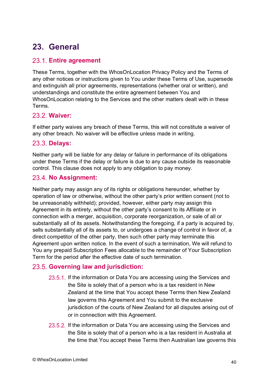# **23. General**

### **Entire agreement**

These Terms, together with the WhosOnLocation Privacy Policy and the Terms of any other notices or instructions given to You under these Terms of Use, supersede and extinguish all prior agreements, representations (whether oral or written), and understandings and constitute the entire agreement between You and WhosOnLocation relating to the Services and the other matters dealt with in these Terms.

### **Waiver:**

If either party waives any breach of these Terms, this will not constitute a waiver of any other breach. No waiver will be effective unless made in writing.

### **Delays:**

Neither party will be liable for any delay or failure in performance of its obligations under these Terms if the delay or failure is due to any cause outside its reasonable control. This clause does not apply to any obligation to pay money.

### 23.4. No Assignment:

Neither party may assign any of its rights or obligations hereunder, whether by operation of law or otherwise, without the other party's prior written consent (not to be unreasonably withheld); provided, however, either party may assign this Agreement in its entirety, without the other party's consent to its Affiliate or in connection with a merger, acquisition, corporate reorganization, or sale of all or substantially all of its assets. Notwithstanding the foregoing, if a party is acquired by, sells substantially all of its assets to, or undergoes a change of control in favor of, a direct competitor of the other party, then such other party may terminate this Agreement upon written notice. In the event of such a termination, We will refund to You any prepaid Subscription Fees allocable to the remainder of Your Subscription Term for the period after the effective date of such termination.

### **Governing law and jurisdiction:**

- 23.5.1. If the information or Data You are accessing using the Services and the Site is solely that of a person who is a tax resident in New Zealand at the time that You accept these Terms then New Zealand law governs this Agreement and You submit to the exclusive jurisdiction of the courts of New Zealand for all disputes arising out of or in connection with this Agreement.
- 23.5.2. If the information or Data You are accessing using the Services and the Site is solely that of a person who is a tax resident in Australia at the time that You accept these Terms then Australian law governs this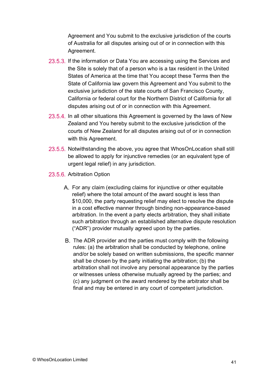Agreement and You submit to the exclusive jurisdiction of the courts of Australia for all disputes arising out of or in connection with this Agreement.

- 23.5.3. If the information or Data You are accessing using the Services and the Site is solely that of a person who is a tax resident in the United States of America at the time that You accept these Terms then the State of California law govern this Agreement and You submit to the exclusive jurisdiction of the state courts of San Francisco County, California or federal court for the Northern District of California for all disputes arising out of or in connection with this Agreement.
- 23.5.4. In all other situations this Agreement is governed by the laws of New Zealand and You hereby submit to the exclusive jurisdiction of the courts of New Zealand for all disputes arising out of or in connection with this Agreement.
- 23.5.5. Notwithstanding the above, you agree that WhosOnLocation shall still be allowed to apply for injunctive remedies (or an equivalent type of urgent legal relief) in any jurisdiction.
- 23.5.6. Arbitration Option
	- For any claim (excluding claims for injunctive or other equitable relief) where the total amount of the award sought is less than \$10,000, the party requesting relief may elect to resolve the dispute in a cost effective manner through binding non-appearance-based arbitration. In the event a party elects arbitration, they shall initiate such arbitration through an established alternative dispute resolution ("ADR") provider mutually agreed upon by the parties.
	- B. The ADR provider and the parties must comply with the following rules: (a) the arbitration shall be conducted by telephone, online and/or be solely based on written submissions, the specific manner shall be chosen by the party initiating the arbitration; (b) the arbitration shall not involve any personal appearance by the parties or witnesses unless otherwise mutually agreed by the parties; and (c) any judgment on the award rendered by the arbitrator shall be final and may be entered in any court of competent jurisdiction.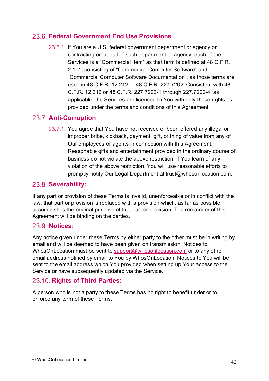### **Federal Government End Use Provisions**

23.6.1. If You are a U.S. federal government department or agency or contracting on behalf of such department or agency, each of the Services is a "Commercial Item" as that term is defined at 48 C.F.R. 2.101, consisting of "Commercial Computer Software" and "Commercial Computer Software Documentation", as those terms are used in 48 C.F.R. 12.212 or 48 C.F.R. 227.7202. Consistent with 48 C.F.R. 12.212 or 48 C.F.R. 227.7202-1 through 227.7202-4, as applicable, the Services are licensed to You with only those rights as provided under the terms and conditions of this Agreement.

### 23.7. Anti-Corruption

23.7.1. You agree that You have not received or been offered any illegal or improper bribe, kickback, payment, gift, or thing of value from any of Our employees or agents in connection with this Agreement. Reasonable gifts and entertainment provided in the ordinary course of business do not violate the above restriction. If You learn of any violation of the above restriction, You will use reasonable efforts to promptly notify Our Legal Department at trust@whosonlocation.com.

### 23.8. Severability:

If any part or provision of these Terms is invalid, unenforceable or in conflict with the law, that part or provision is replaced with a provision which, as far as possible, accomplishes the original purpose of that part or provision. The remainder of this Agreement will be binding on the parties.

#### **Notices:**

Any notice given under these Terms by either party to the other must be in writing by email and will be deemed to have been given on transmission. Notices to WhosOnLocation must be sent to [support@whosonlocation.com](mailto:support@whosonlocation.com) or to any other email address notified by email to You by WhosOnLocation. Notices to You will be sent to the email address which You provided when setting up Your access to the Service or have subsequently updated via the Service.

### **Rights of Third Parties:**

A person who is not a party to these Terms has no right to benefit under or to enforce any term of these Terms.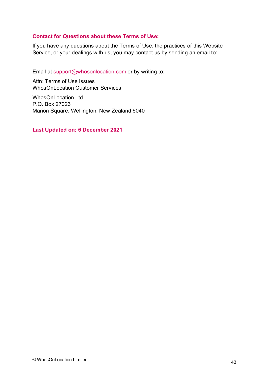#### **Contact for Questions about these Terms of Use:**

If you have any questions about the Terms of Use, the practices of this Website Service, or your dealings with us, you may contact us by sending an email to:

Email at [support@whosonlocation.com](mailto:helpdesk@whosonlocation.com) or by writing to:

Attn: Terms of Use Issues WhosOnLocation Customer Services

WhosOnLocation Ltd P.O. Box 27023 Marion Square, Wellington, New Zealand 6040

**Last Updated on: 6 December 2021**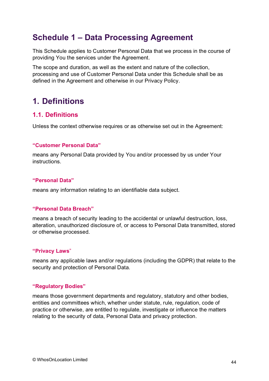# **Schedule 1 – Data Processing Agreement**

This Schedule applies to Customer Personal Data that we process in the course of providing You the services under the Agreement.

The scope and duration, as well as the extent and nature of the collection, processing and use of Customer Personal Data under this Schedule shall be as defined in the Agreement and otherwise in our Privacy Policy.

## **1. Definitions**

### **1.1. Definitions**

Unless the context otherwise requires or as otherwise set out in the Agreement:

#### **"Customer Personal Data"**

means any Personal Data provided by You and/or processed by us under Your instructions.

#### **"Personal Data"**

means any information relating to an identifiable data subject.

#### **"Personal Data Breach"**

means a breach of security leading to the accidental or unlawful destruction, loss, alteration, unauthorized disclosure of, or access to Personal Data transmitted, stored or otherwise processed.

#### **"Privacy Laws**"

means any applicable laws and/or regulations (including the GDPR) that relate to the security and protection of Personal Data.

#### **"Regulatory Bodies"**

means those government departments and regulatory, statutory and other bodies, entities and committees which, whether under statute, rule, regulation, code of practice or otherwise, are entitled to regulate, investigate or influence the matters relating to the security of data, Personal Data and privacy protection.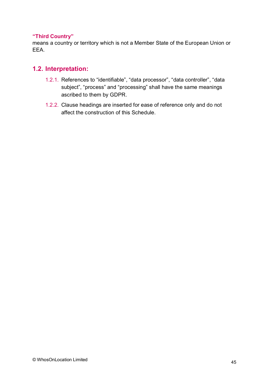#### **"Third Country"**

means a country or territory which is not a Member State of the European Union or EEA.

### **1.2. Interpretation:**

- 1.2.1. References to "identifiable", "data processor", "data controller", "data subject", "process" and "processing" shall have the same meanings ascribed to them by GDPR.
- 1.2.2. Clause headings are inserted for ease of reference only and do not affect the construction of this Schedule.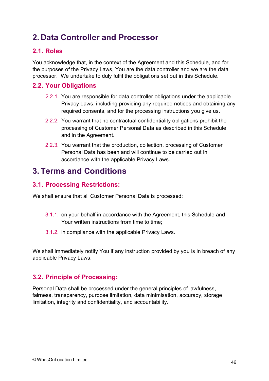# **2. Data Controller and Processor**

### **2.1. Roles**

You acknowledge that, in the context of the Agreement and this Schedule, and for the purposes of the Privacy Laws, You are the data controller and we are the data processor. We undertake to duly fulfil the obligations set out in this Schedule.

### **2.2. Your Obligations**

- 2.2.1. You are responsible for data controller obligations under the applicable Privacy Laws, including providing any required notices and obtaining any required consents, and for the processing instructions you give us.
- 2.2.2. You warrant that no contractual confidentiality obligations prohibit the processing of Customer Personal Data as described in this Schedule and in the Agreement.
- 2.2.3. You warrant that the production, collection, processing of Customer Personal Data has been and will continue to be carried out in accordance with the applicable Privacy Laws.

## **3. Terms and Conditions**

### **3.1. Processing Restrictions:**

We shall ensure that all Customer Personal Data is processed:

- 3.1.1. on your behalf in accordance with the Agreement, this Schedule and Your written instructions from time to time;
- 3.1.2. in compliance with the applicable Privacy Laws.

We shall immediately notify You if any instruction provided by you is in breach of any applicable Privacy Laws.

### **3.2. Principle of Processing:**

Personal Data shall be processed under the general principles of lawfulness, fairness, transparency, purpose limitation, data minimisation, accuracy, storage limitation, integrity and confidentiality, and accountability.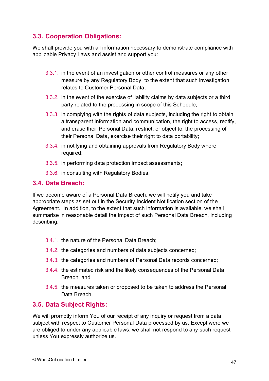### **3.3. Cooperation Obligations:**

We shall provide you with all information necessary to demonstrate compliance with applicable Privacy Laws and assist and support you:

- 3.3.1. in the event of an investigation or other control measures or any other measure by any Regulatory Body, to the extent that such investigation relates to Customer Personal Data;
- 3.3.2. in the event of the exercise of liability claims by data subjects or a third party related to the processing in scope of this Schedule;
- 3.3.3. in complying with the rights of data subjects, including the right to obtain a transparent information and communication, the right to access, rectify, and erase their Personal Data, restrict, or object to, the processing of their Personal Data, exercise their right to data portability;
- 3.3.4. in notifying and obtaining approvals from Regulatory Body where required;
- 3.3.5. in performing data protection impact assessments;
- 3.3.6. in consulting with Regulatory Bodies.

### **3.4. Data Breach:**

If we become aware of a Personal Data Breach, we will notify you and take appropriate steps as set out in the Security Incident Notification section of the Agreement. In addition, to the extent that such information is available, we shall summarise in reasonable detail the impact of such Personal Data Breach, including describing:

- 3.4.1. the nature of the Personal Data Breach;
- 3.4.2. the categories and numbers of data subjects concerned;
- 3.4.3. the categories and numbers of Personal Data records concerned;
- 3.4.4. the estimated risk and the likely consequences of the Personal Data Breach; and
- 3.4.5. the measures taken or proposed to be taken to address the Personal Data Breach.

### **3.5. Data Subject Rights:**

We will promptly inform You of our receipt of any inquiry or request from a data subject with respect to Customer Personal Data processed by us. Except were we are obliged to under any applicable laws, we shall not respond to any such request unless You expressly authorize us.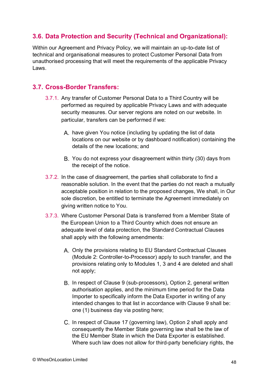### **3.6. Data Protection and Security (Technical and Organizational):**

Within our Agreement and Privacy Policy, we will maintain an up-to-date list of technical and organisational measures to protect Customer Personal Data from unauthorised processing that will meet the requirements of the applicable Privacy Laws.

### **3.7. Cross-Border Transfers:**

- 3.7.1. Any transfer of Customer Personal Data to a Third Country will be performed as required by applicable Privacy Laws and with adequate security measures. Our server regions are noted on our website. In particular, transfers can be performed if we:
	- A. have given You notice (including by updating the list of data locations on our website or by dashboard notification) containing the details of the new locations; and
	- You do not express your disagreement within thirty (30) days from the receipt of the notice.
- 3.7.2. In the case of disagreement, the parties shall collaborate to find a reasonable solution. In the event that the parties do not reach a mutually acceptable position in relation to the proposed changes, We shall, in Our sole discretion, be entitled to terminate the Agreement immediately on giving written notice to You.
- 3.7.3. Where Customer Personal Data is transferred from a Member State of the European Union to a Third Country which does not ensure an adequate level of data protection, the Standard Contractual Clauses shall apply with the following amendments:
	- A. Only the provisions relating to EU Standard Contractual Clauses (Module 2: Controller-to-Processor) apply to such transfer, and the provisions relating only to Modules 1, 3 and 4 are deleted and shall not apply;
	- B. In respect of Clause 9 (sub-processors), Option 2, general written authorisation applies, and the minimum time period for the Data Importer to specifically inform the Data Exporter in writing of any intended changes to that list in accordance with Clause 9 shall be: one (1) business day via posting here;
	- C. In respect of Clause 17 (governing law), Option 2 shall apply and consequently the Member State governing law shall be the law of the EU Member State in which the Data Exporter is established. Where such law does not allow for third-party beneficiary rights, the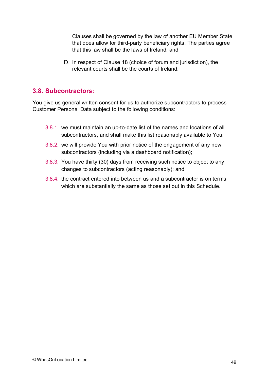Clauses shall be governed by the law of another EU Member State that does allow for third-party beneficiary rights. The parties agree that this law shall be the laws of Ireland; and

D. In respect of Clause 18 (choice of forum and jurisdiction), the relevant courts shall be the courts of Ireland.

#### **3.8. Subcontractors:**

You give us general written consent for us to authorize subcontractors to process Customer Personal Data subject to the following conditions:

- 3.8.1. we must maintain an up-to-date list of the names and locations of all subcontractors, and shall make this list reasonably available to You;
- 3.8.2. we will provide You with prior notice of the engagement of any new subcontractors (including via a dashboard notification);
- 3.8.3. You have thirty (30) days from receiving such notice to object to any changes to subcontractors (acting reasonably); and
- 3.8.4. the contract entered into between us and a subcontractor is on terms which are substantially the same as those set out in this Schedule.